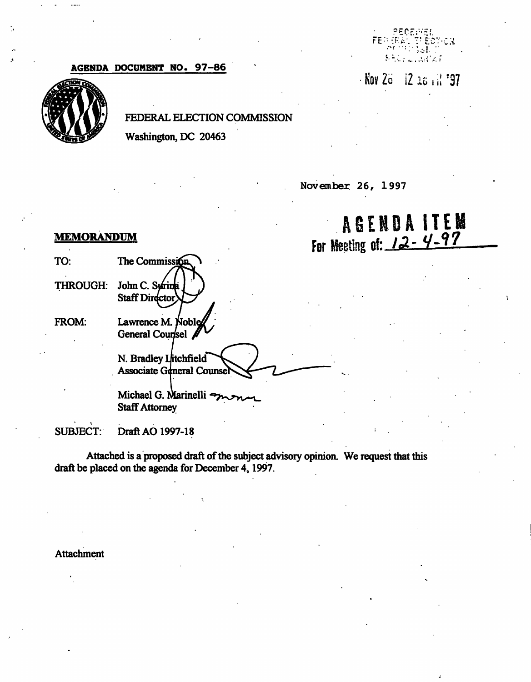## AGENDA DOCUMENT NO. 97-86



## FEDERAL ELECTION COMMISSION

Washington, DC 20463

November 26, 1997

# **AGENDA ITEM** For Meeting of:  $12 - 4 - 97$

?tCF;--i:f.

 $\mathbb T$ EC ."•! ••:••• . i •

\* أن 20 I ق

 $\mathsf{FE} \oplus \mathbb{R}$  ).

#### **MEMORANDUM**

| TO:             | The Commission                                                         |
|-----------------|------------------------------------------------------------------------|
| <b>THROUGH:</b> | John C. Surina<br><b>Staff Director</b>                                |
| FROM:           | Lawrence M. Noble<br>General Counsel<br>N. Bradley Litchfield          |
|                 | <b>Associate General Counser</b><br>Michael G. Marinelli $\rightarrow$ |
|                 | <b>Staff Attorney</b>                                                  |

SUBJECT: Draft AO 1997-18

Attached is a proposed draft of the subject advisory opinion. We request that this draft be placed on the agenda for December 4,1997.

Attachment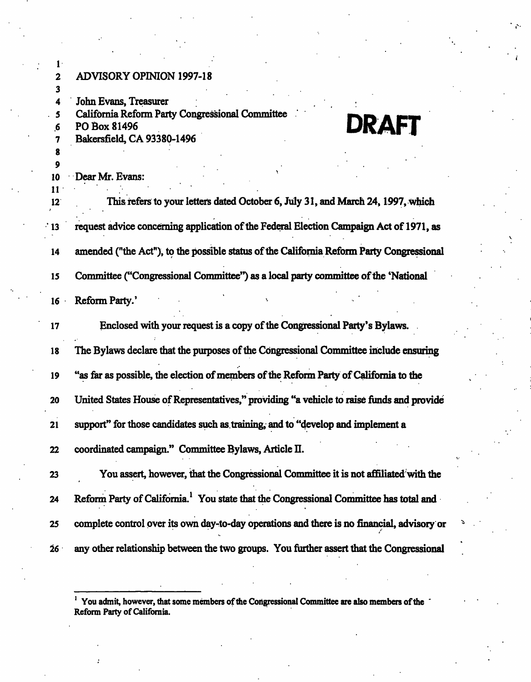| $1 \cdot$           |                                                                                                   |
|---------------------|---------------------------------------------------------------------------------------------------|
| $\mathbf 2$         | <b>ADVISORY OPINION 1997-18</b>                                                                   |
| 3                   |                                                                                                   |
| 4                   | John Evans, Treasurer                                                                             |
| 5                   | California Reform Party Congressional Committee                                                   |
| $6 \frac{1}{2}$     | <b>DRAFT</b><br>PO Box 81496                                                                      |
| 7                   | Bakersfield, CA 93380-1496                                                                        |
| 8                   |                                                                                                   |
| 9                   |                                                                                                   |
| 10<br>$\mathbf{11}$ | Dear Mr. Evans:                                                                                   |
| 12                  | This refers to your letters dated October 6, July 31, and March 24, 1997, which                   |
| 13                  | request advice concerning application of the Federal Election Campaign Act of 1971, as            |
| 14                  | amended ("the Act"), to the possible status of the California Reform Party Congressional          |
| 15                  | Committee ("Congressional Committee") as a local party committee of the 'National                 |
| 16                  | Reform Party.'                                                                                    |
| 17                  | Enclosed with your request is a copy of the Congressional Party's Bylaws.                         |
| 18                  | The Bylaws declare that the purposes of the Congressional Committee include ensuring              |
| 19                  | "as far as possible, the election of members of the Reform Party of California to the             |
| 20                  | United States House of Representatives," providing "a vehicle to raise funds and provide          |
| 21                  | support" for those candidates such as training, and to "develop and implement a                   |
| 22                  | coordinated campaign." Committee Bylaws, Article II.                                              |
| 23                  | You assert, however, that the Congressional Committee it is not affiliated with the               |
| 24                  | Reform Party of California. <sup>1</sup> You state that the Congressional Committee has total and |
| 25                  | complete control over its own day-to-day operations and there is no financial, advisory or        |
| 26 <sub>1</sub>     | any other relationship between the two groups. You further assert that the Congressional          |

<sup>1</sup> You admit, however, that some members of the Congressional Committee are also members of the Reform Party of California.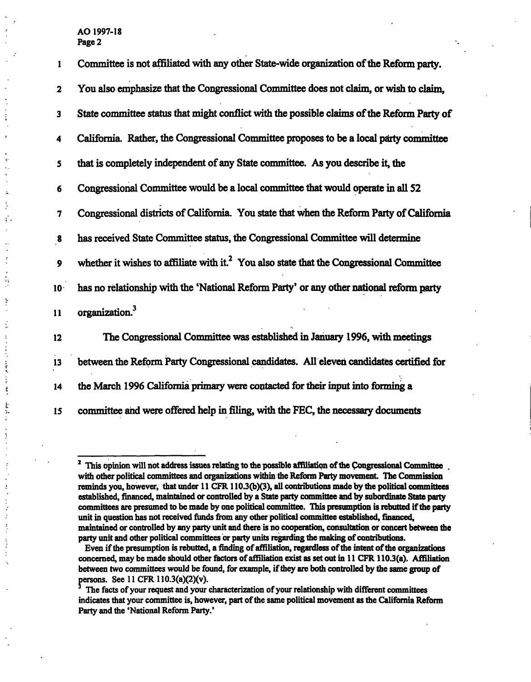ç.

 $\ddot{z}$ 

ť

 $\ddot{\phantom{a}}$ 

 $\ddot{ }$ 

 $\frac{1}{2}$ 

医单位性脑炎 医中间性骨折

 $\ddot{\phantom{a}}$ 

まま

1 Committee is not affiliated with any other State-wide organization of the Reform party. 2 You also emphasize that the Congressional Committee does not claim, or wish to claim, 3 State committee status that might conflict with the possible claims of the Reform Party of 4 California. Rather, the Congressional Committee proposes to be a local party committee 5 that is completely independent of any State committee. As you describe it, the 6 Congressional Committee would be a local committee that would operate in all 52 7 Congressional districts of California. You state that when the Reform Party of California 8 has received State Committee status, the Congressional Committee will determine 9 whether it wishes to affiliate with it.<sup>2</sup> You also state that the Congressional Committee 10 has no relationship with the 'National Reform Party' or any other national reform party 11 organization.<sup>3</sup>

12 The Congressional Committee was established in January 1996, with meetings 13 between the Reform Party Congressional candidates. All eleven candidates certified for 14 the March 1996 California primary were contacted for their input into forming a 15 committee and were offered help in filing, with the FEC, the necessary documents

<sup>&</sup>lt;sup>2</sup> This opinion will not address issues relating to the possible affiliation of the Congressional Committee with other political committees and organizations within the Reform Party movement. The Commission reminds you, however, that under 11 CFR 110.3(b)(3), all contributions made by the political committees established, financed, maintained or controlled by a State party committee and by subordinate State party committees are presumed to be made by one political committee. This presumption is rebutted if the parry unit in question has not received funds from any other political committee established, financed, maintained or controlled by any party unit and there is no cooperation, consultation or concert between the party unit and other political committees or party units regarding the making of contributions.

Even if the presumption is rebutted, a finding of affiliation, regardless of the intent of the organizations concerned, may be made should other factors of affiliation exist as set out in 11 CFR 110.3(a). Affiliation between two committees would be found, for example, if they are both controlled by the same group of persons. See 11 CFR 110.3(a)(2)(v).

The facts of your request and your characterization of your relationship with different committees indicates that your committee is, however, part of the same political movement as the California Reform Party and the 'National Reform Party.'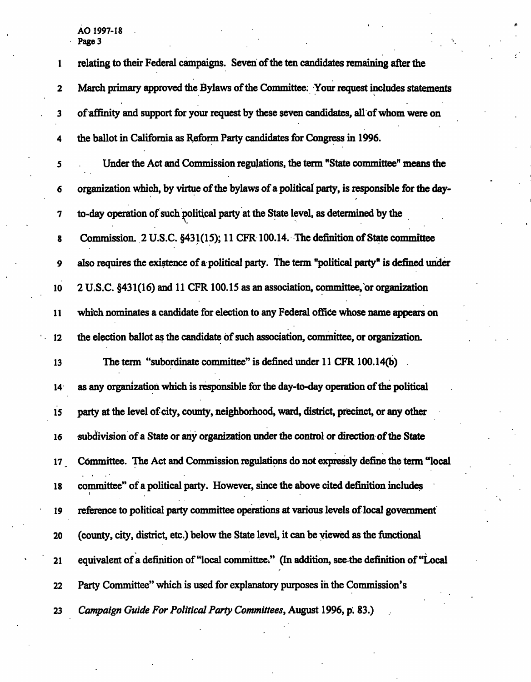$\epsilon_{\rm{g}}$ 

 $\ddot{\phantom{a}}$ 

| 1                | relating to their Federal campaigns. Seven of the ten candidates remaining after the          |
|------------------|-----------------------------------------------------------------------------------------------|
| $\mathbf 2$      | March primary approved the Bylaws of the Committee. Your request includes statements          |
| 3                | of affinity and support for your request by these seven candidates, all of whom were on       |
| 4                | the ballot in California as Reform Party candidates for Congress in 1996.                     |
| 5                | Under the Act and Commission regulations, the term "State committee" means the                |
| 6                | organization which, by virtue of the bylaws of a political party, is responsible for the day- |
| 7                | to-day operation of such political party at the State level, as determined by the             |
| $\pmb{8}$        | Commission. 2 U.S.C. §431(15); 11 CFR 100.14. The definition of State committee               |
| 9                | also requires the existence of a political party. The term "political party" is defined under |
| 10               | 2 U.S.C. §431(16) and 11 CFR 100.15 as an association, committee, or organization             |
| 11               | which nominates a candidate for election to any Federal office whose name appears on          |
| 12               | the election ballot as the candidate of such association, committee, or organization.         |
| 13               | The term "subordinate committee" is defined under 11 CFR 100.14(b)                            |
| 14 <sup>°</sup>  | as any organization which is responsible for the day-to-day operation of the political        |
| 15               | party at the level of city, county, neighborhood, ward, district, precinct, or any other      |
| 16               | subdivision of a State or any organization under the control or direction of the State        |
| 17 <sup>17</sup> | Committee. The Act and Commission regulations do not expressly define the term "local         |
| 18               | committee" of a political party. However, since the above cited definition includes           |
| 19               | reference to political party committee operations at various levels of local government       |
| 20               | (county, city, district, etc.) below the State level, it can be viewed as the functional      |
| 21               | equivalent of a definition of "local committee." (In addition, see the definition of "Local   |
| 22               | Party Committee" which is used for explanatory purposes in the Commission's                   |
| 23               | Campaign Guide For Political Party Committees, August 1996, p. 83.)                           |

A

 $\mathcal{E}$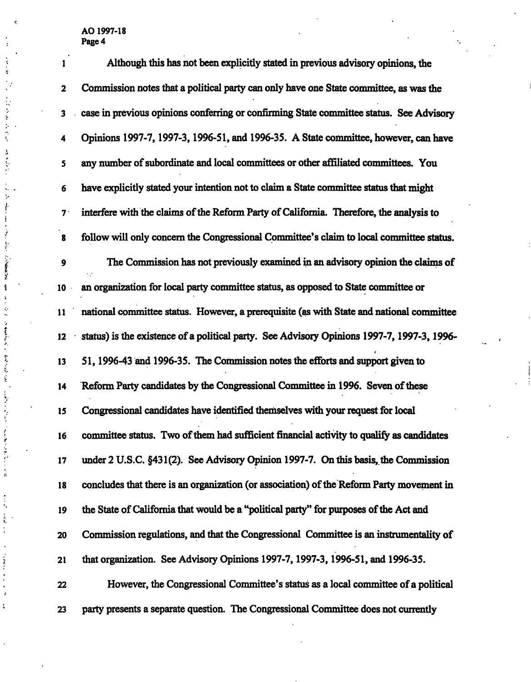$\epsilon$ 

 $\frac{1}{2}$  $\cdot$ 

人名英格兰人姓氏  $\blacksquare$ 

医心包 医甲基苯二甲基 医前列腺瘤 医阴囊囊膜炎 医骨关节 医心包 医血管囊内炎 医弗兰克氏菌 医二乙基甲基乙基甲基乙基甲基乙基甲基乙基甲基乙基甲基乙基甲基乙基甲基乙基甲基乙基

 $\frac{1}{2}$ 

 $\frac{1}{2}$ 

 $\epsilon$  $\ddot{\phantom{a}}$ 

l,

|                | Page 4                                                                                     |
|----------------|--------------------------------------------------------------------------------------------|
| 1              | Although this has not been explicitly stated in previous advisory opinions, the            |
| $\mathbf{2}$   | Commission notes that a political party can only have one State committee, as was the      |
| 3              | case in previous opinions conferring or confirming State committee status. See Advisory    |
| 4              | Opinions 1997-7, 1997-3, 1996-51, and 1996-35. A State committee, however, can have        |
| 5              | any number of subordinate and local committees or other affiliated committees. You         |
| 6              | have explicitly stated your intention not to claim a State committee status that might     |
| 7 <sup>1</sup> | interfere with the claims of the Reform Party of California. Therefore, the analysis to    |
| 8              | follow will only concern the Congressional Committee's claim to local committee status.    |
| 9              | The Commission has not previously examined in an advisory opinion the claims of            |
| 10             | an organization for local party committee status, as opposed to State committee or         |
| 11             | national committee status. However, a prerequisite (as with State and national committee   |
| 12             | status) is the existence of a political party. See Advisory Opinions 1997-7, 1997-3, 1996- |
| 13             | 51, 1996-43 and 1996-35. The Commission notes the efforts and support given to             |
| 14             | Reform Party candidates by the Congressional Committee in 1996. Seven of these             |
| 15             | Congressional candidates have identified themselves with your request for local            |
| 16             | committee status. Two of them had sufficient financial activity to qualify as candidates   |
| 17             | under 2 U.S.C. §431(2). See Advisory Opinion 1997-7. On this basis, the Commission         |
| 18             | concludes that there is an organization (or association) of the Reform Party movement in   |
| 19             | the State of California that would be a "political party" for purposes of the Act and      |
| 20             | Commission regulations, and that the Congressional Committee is an instrumentality of      |
| 21             | that organization. See Advisory Opinions 1997-7, 1997-3, 1996-51, and 1996-35.             |
| 22             | However, the Congressional Committee's status as a local committee of a political          |
|                |                                                                                            |

 $\frac{1}{2}$  $\mathcal{L}$ 

23 party presents a separate question. The Congressional Committee does not currently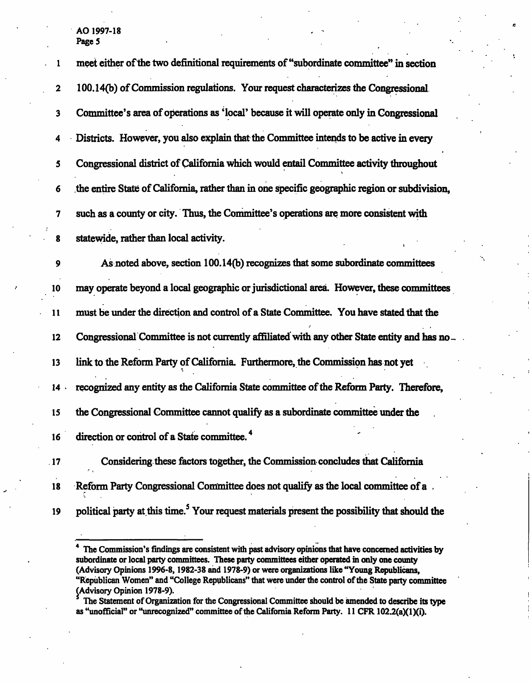| 1      | meet either of the two definitional requirements of "subordinate committee" in section        |
|--------|-----------------------------------------------------------------------------------------------|
| 2      | 100.14(b) of Commission regulations. Your request characterizes the Congressional             |
| 3      | Committee's area of operations as 'local' because it will operate only in Congressional       |
| 4      | Districts. However, you also explain that the Committee intends to be active in every         |
| 5      | Congressional district of California which would entail Committee activity throughout         |
| 6      | the entire State of California, rather than in one specific geographic region or subdivision, |
| 7      | such as a county or city. Thus, the Committee's operations are more consistent with           |
| 8      | statewide, rather than local activity.                                                        |
| 9      | As noted above, section 100.14(b) recognizes that some subordinate committees                 |
| 10     | may operate beyond a local geographic or jurisdictional area. However, these committees       |
| 11     | must be under the direction and control of a State Committee. You have stated that the        |
| 12     | Congressional Committee is not currently affiliated with any other State entity and has no-   |
| 13     | link to the Reform Party of California. Furthermore, the Commission has not yet               |
| 14.    | recognized any entity as the California State committee of the Reform Party. Therefore,       |
| 15     | the Congressional Committee cannot qualify as a subordinate committee under the               |
| $16-1$ | direction or control of a State committee. <sup>4</sup>                                       |
| 17     | Considering these factors together, the Commission concludes that California                  |
| 18     | Reform Party Congressional Committee does not qualify as the local committee of a             |
|        |                                                                                               |

19 political party at this time.<sup>5</sup> Your request materials present the possibility that should the

4 The Commission's findings are consistent with past advisory opinions that have concerned activities by subordinate or local party committees. These party committees either operated in only one county (Advisory Opinions 1996-8,1982-38 and 1978-9) or were organizations like "Young Republicans, "Republican Women" and "College Republicans" that were under the control of the State party committee (Advisory Opinion 1978-9).<br>Sa The Statement of Organiz

 The Statement of Organization for the Congressional Committee should be amended to describe its type as "unofficial" or "unrecognized" committee of the California Reform Party. 11 CFR 102.2(a)(1)(i).